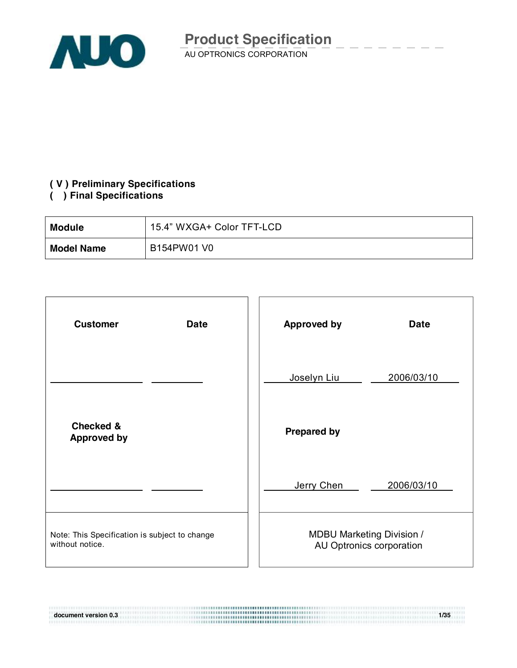

#### **( V ) Preliminary Specifications**

#### **( ) Final Specifications**

| <b>Module</b>     | 15.4" WXGA+ Color TFT-LCD |
|-------------------|---------------------------|
| <b>Model Name</b> | B154PW01 V0               |

| <b>Customer</b><br><b>Date</b>                                   | <b>Approved by</b><br><b>Date</b>                            |
|------------------------------------------------------------------|--------------------------------------------------------------|
|                                                                  | Joselyn Liu<br>2006/03/10                                    |
| <b>Checked &amp;</b><br><b>Approved by</b>                       | <b>Prepared by</b>                                           |
|                                                                  | Jerry Chen<br>2006/03/10                                     |
| Note: This Specification is subject to change<br>without notice. | <b>MDBU Marketing Division /</b><br>AU Optronics corporation |

**document version 0.3 1/35**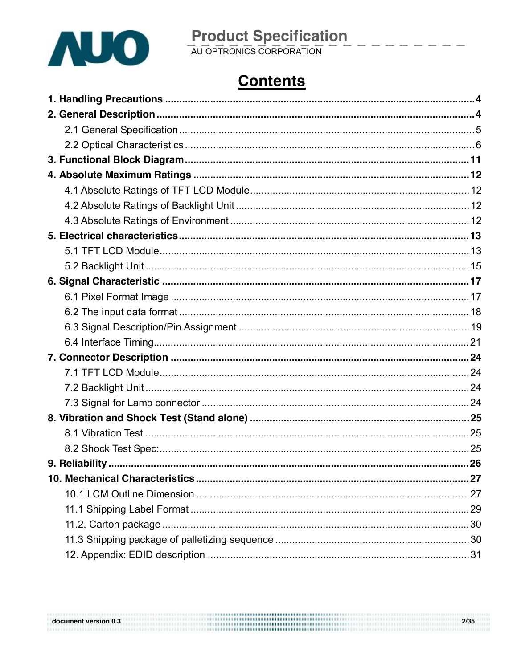

# **Product Specification**<br>AU OPTRONICS CORPORATION

# **Contents**

 $\begin{array}{l} \textbf{document version 0.3} \end{array} \hspace{1.5cm} \begin{array}{l} \textbf{2/35} \\ \textbf{3/35} \\ \textbf{4/35} \\ \textbf{5/35} \\ \textbf{6/35} \\ \textbf{7/35} \\ \textbf{8/35} \\ \textbf{9/35} \\ \textbf{10/35} \\ \textbf{11/35} \\ \textbf{12/35} \\ \textbf{13/35} \\ \textbf{14/35} \\ \textbf{15/35} \\ \textbf{16/35} \\ \textbf{18/35} \\ \textbf{19/35} \\ \text$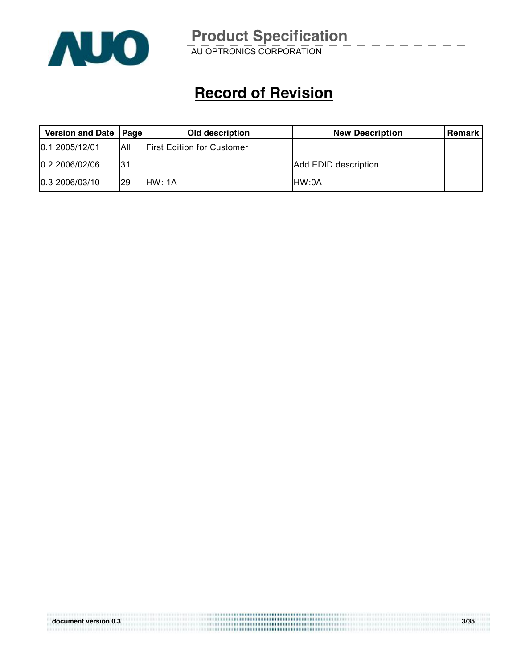

# **Record of Revision**

| Version and Date   Page |     | Old description<br><b>New Description</b> |                      | <b>Remark</b> l |
|-------------------------|-----|-------------------------------------------|----------------------|-----------------|
| 0.12005/12/01           | All | <b>First Edition for Customer</b>         |                      |                 |
| 0.2 2006/02/06          | l31 |                                           | Add EDID description |                 |
| 0.3 2006/03/10          | 29  | IHW: 1A                                   | IHW:0A               |                 |

| document version 0.3 | 3/35 |
|----------------------|------|
|                      |      |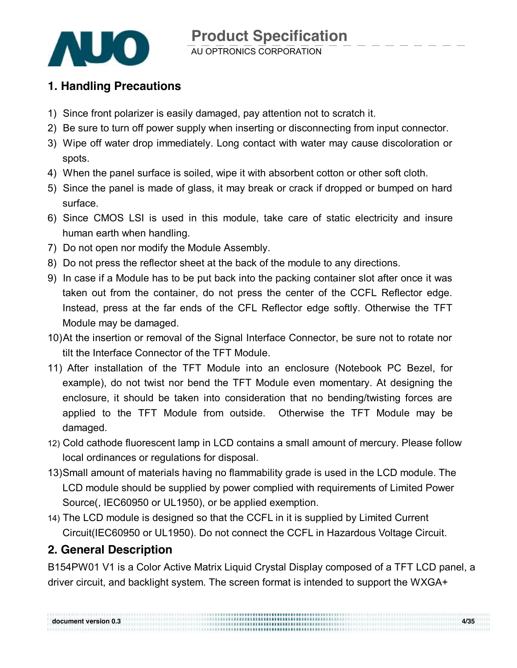

### **1. Handling Precautions**

- 1) Since front polarizer is easily damaged, pay attention not to scratch it.
- 2) Be sure to turn off power supply when inserting or disconnecting from input connector.
- 3) Wipe off water drop immediately. Long contact with water may cause discoloration or spots.
- 4) When the panel surface is soiled, wipe it with absorbent cotton or other soft cloth.
- 5) Since the panel is made of glass, it may break or crack if dropped or bumped on hard surface.
- 6) Since CMOS LSI is used in this module, take care of static electricity and insure human earth when handling.
- 7) Do not open nor modify the Module Assembly.
- 8) Do not press the reflector sheet at the back of the module to any directions.
- 9) In case if a Module has to be put back into the packing container slot after once it was taken out from the container, do not press the center of the CCFL Reflector edge. Instead, press at the far ends of the CFL Reflector edge softly. Otherwise the TFT Module may be damaged.
- 10)At the insertion or removal of the Signal Interface Connector, be sure not to rotate nor tilt the Interface Connector of the TFT Module.
- 11) After installation of the TFT Module into an enclosure (Notebook PC Bezel, for example), do not twist nor bend the TFT Module even momentary. At designing the enclosure, it should be taken into consideration that no bending/twisting forces are applied to the TFT Module from outside. Otherwise the TFT Module may be damaged.
- 12) Cold cathode fluorescent lamp in LCD contains a small amount of mercury. Please follow local ordinances or regulations for disposal.
- 13)Small amount of materials having no flammability grade is used in the LCD module. The LCD module should be supplied by power complied with requirements of Limited Power Source(, IEC60950 or UL1950), or be applied exemption.
- 14) The LCD module is designed so that the CCFL in it is supplied by Limited Current Circuit(IEC60950 or UL1950). Do not connect the CCFL in Hazardous Voltage Circuit.

### **2. General Description**

B154PW01 V1 is a Color Active Matrix Liquid Crystal Display composed of a TFT LCD panel, a driver circuit, and backlight system. The screen format is intended to support the WXGA+

**document version 0.3 4/35**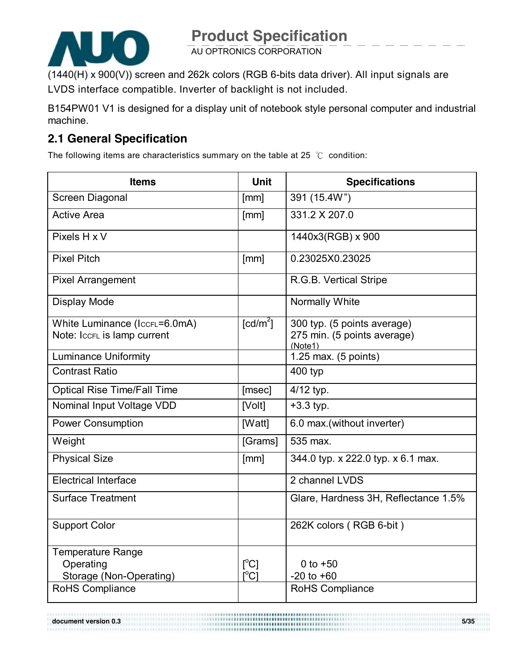

(1440(H) x 900(V)) screen and 262k colors (RGB 6-bits data driver). All input signals are LVDS interface compatible. Inverter of backlight is not included.

B154PW01 V1 is designed for a display unit of notebook style personal computer and industrial machine.

### **2.1 General Specification**

The following items are characteristics summary on the table at 25 ℃ condition:

| <b>Items</b>                               | <b>Unit</b>                    | <b>Specifications</b>                    |
|--------------------------------------------|--------------------------------|------------------------------------------|
| <b>Screen Diagonal</b>                     | [mm]                           | 391 (15.4W")                             |
| <b>Active Area</b>                         | [mm]                           | 331.2 X 207.0                            |
| Pixels H x V                               |                                | 1440x3(RGB) x 900                        |
| <b>Pixel Pitch</b>                         | [mm]                           | 0.23025X0.23025                          |
| <b>Pixel Arrangement</b>                   |                                | R.G.B. Vertical Stripe                   |
| Display Mode                               |                                | Normally White                           |
| White Luminance (IccrL=6.0mA)              | $\lceil cd/m^2 \rceil$         | 300 typ. (5 points average)              |
| Note: IccFL is lamp current                |                                | 275 min. (5 points average)<br>(Note1)   |
| <b>Luminance Uniformity</b>                |                                | 1.25 max. $(5 \text{ points})$           |
| <b>Contrast Ratio</b>                      |                                | 400 typ                                  |
| <b>Optical Rise Time/Fall Time</b>         | [msec]                         | 4/12 typ.                                |
| Nominal Input Voltage VDD                  | [Volt]                         | $+3.3$ typ.                              |
| <b>Power Consumption</b>                   | [Watt]                         | 6.0 max.(without inverter)               |
| Weight                                     | [Grams]                        | 535 max.                                 |
| <b>Physical Size</b>                       | [mm]                           | 344.0 typ. x 222.0 typ. x 6.1 max.       |
| <b>Electrical Interface</b>                |                                | 2 channel LVDS                           |
| <b>Surface Treatment</b>                   |                                | Glare, Hardness 3H, Reflectance 1.5%     |
| <b>Support Color</b>                       |                                | 262K colors (RGB 6-bit)                  |
| <b>Temperature Range</b>                   |                                |                                          |
| Operating                                  | $\lceil^{\circ}C\rceil$        | 0 to $+50$                               |
| Storage (Non-Operating)<br>RoHS Compliance | $\mathsf{I}^{\circ}\mathsf{C}$ | $-20$ to $+60$<br><b>RoHS Compliance</b> |
|                                            |                                |                                          |

**document version 0.3 5/35**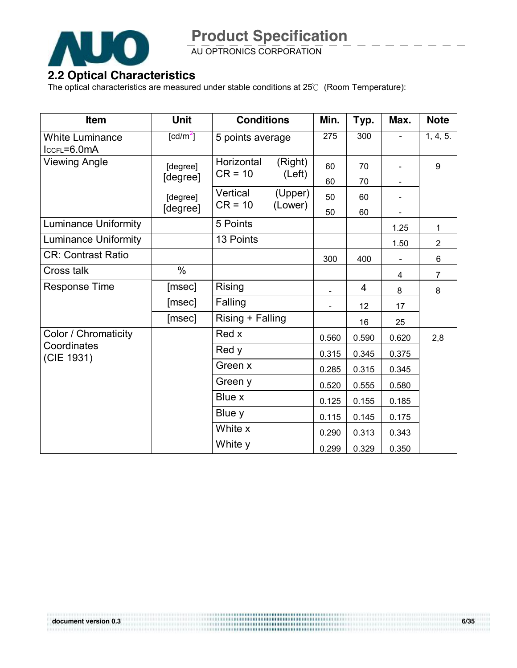

AU OPTRONICS CORPORATION

#### **2.2 Optical Characteristics**

The optical characteristics are measured under stable conditions at 25℃ (Room Temperature):

| Item                                  | <b>Unit</b>            | <b>Conditions</b>                            | Min.  | Typ.  | Max.  | <b>Note</b>    |
|---------------------------------------|------------------------|----------------------------------------------|-------|-------|-------|----------------|
| <b>White Luminance</b><br>IccFL=6.0mA | $\lceil cd/m^2 \rceil$ | 5 points average                             | 275   | 300   |       | 1, 4, 5.       |
| <b>Viewing Angle</b>                  | [degree]               | Horizontal<br>(Right)<br>$CR = 10$<br>(Left) | 60    | 70    |       | 9              |
|                                       | [degree]               |                                              | 60    | 70    |       |                |
|                                       | [degree]<br>[degree]   | Vertical<br>(Upper)<br>$CR = 10$<br>(Lower)  | 50    | 60    |       |                |
|                                       |                        |                                              | 50    | 60    |       |                |
| <b>Luminance Uniformity</b>           |                        | 5 Points                                     |       |       | 1.25  | 1              |
| <b>Luminance Uniformity</b>           |                        | 13 Points                                    |       |       | 1.50  | 2              |
| <b>CR: Contrast Ratio</b>             |                        |                                              | 300   | 400   |       | 6              |
| Cross talk                            | $\%$                   |                                              |       |       | 4     | $\overline{7}$ |
| <b>Response Time</b>                  | [msec]                 | <b>Rising</b>                                |       | 4     | 8     | 8              |
|                                       | [msec]                 | Falling                                      |       | 12    | 17    |                |
|                                       | [msec]                 | Rising + Falling                             |       | 16    | 25    |                |
| Color / Chromaticity                  |                        | Red x                                        | 0.560 | 0.590 | 0.620 | 2,8            |
| Coordinates<br>(CIE 1931)             |                        | Red y                                        | 0.315 | 0.345 | 0.375 |                |
|                                       |                        | Green x                                      | 0.285 | 0.315 | 0.345 |                |
|                                       |                        | Green y                                      | 0.520 | 0.555 | 0.580 |                |
|                                       |                        | Blue x                                       | 0.125 | 0.155 | 0.185 |                |
|                                       |                        | Blue y                                       | 0.115 | 0.145 | 0.175 |                |
|                                       |                        | White x                                      | 0.290 | 0.313 | 0.343 |                |
|                                       |                        | White y                                      | 0.299 | 0.329 | 0.350 |                |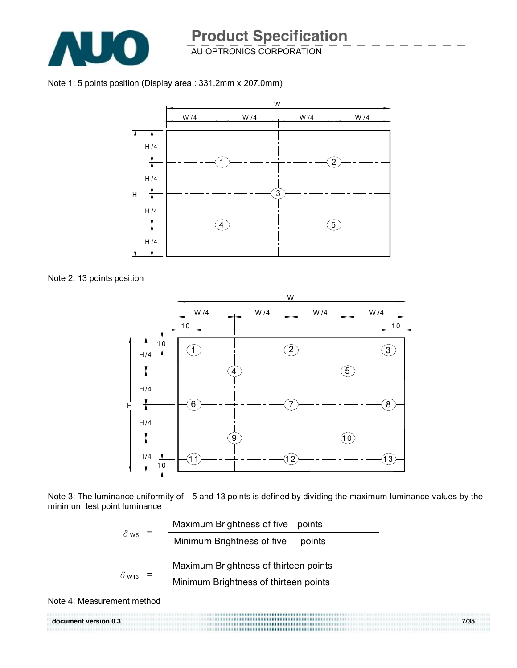

### AU OPTRONICS CORPORATION **Product Specification**

Note 1: 5 points position (Display area : 331.2mm x 207.0mm)



Note 2: 13 points position



Note 3: The luminance uniformity of 5 and 13 points is defined by dividing the maximum luminance values by the minimum test point luminance

$$
\delta_{\text{W5}} = \frac{\text{Maximum brightness of five points}}{\text{Minimum brightness of five points}}
$$
\n
$$
\delta_{\text{W13}} = \frac{\text{Maximum brightness of thirteen points}}{\text{Minimum brightness of thirteen points}}
$$

Note 4: Measurement method

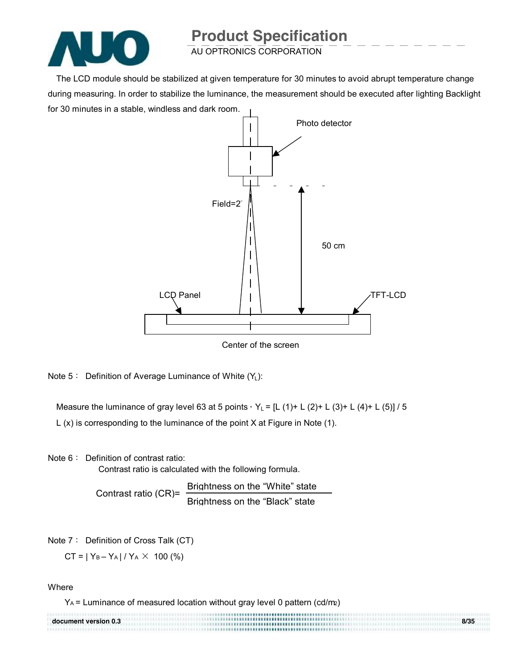

AU OPTRONICS CORPORATION

The LCD module should be stabilized at given temperature for 30 minutes to avoid abrupt temperature change during measuring. In order to stabilize the luminance, the measurement should be executed after lighting Backlight for 30 minutes in a stable, windless and dark room.



Note  $5:$  Definition of Average Luminance of White  $(Y_L)$ :

Measure the luminance of gray level 63 at 5 points,  $Y_L = [L (1) + L (2) + L (3) + L (4) + L (5)] / 5$ 

L (x) is corresponding to the luminance of the point X at Figure in Note (1).

Note 6: Definition of contrast ratio:

Contrast ratio is calculated with the following formula.

Contrast ratio (CR)= Brightness on the "White" state Brightness on the "Black" state

Note 7: Definition of Cross Talk (CT)

 $CT = |Y_B - Y_A| / Y_A \times 100$  (%)

**Where** 

YA = Luminance of measured location without gray level 0 pattern (cd/m2)

| document version 0.3 | 8/35 |
|----------------------|------|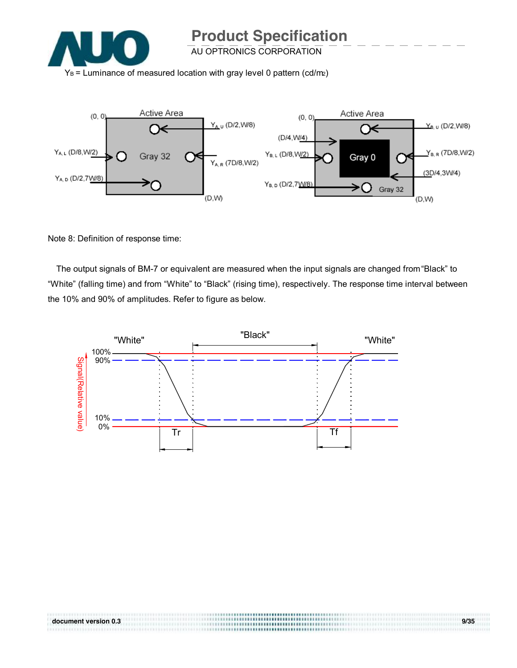

AU OPTRONICS CORPORATION

 $Y_B$  = Luminance of measured location with gray level 0 pattern (cd/m2)



Note 8: Definition of response time:

The output signals of BM-7 or equivalent are measured when the input signals are changed from "Black" to "White" (falling time) and from "White" to "Black" (rising time), respectively. The response time interval between the 10% and 90% of amplitudes. Refer to figure as below.

**document version 0.3 9/35** 

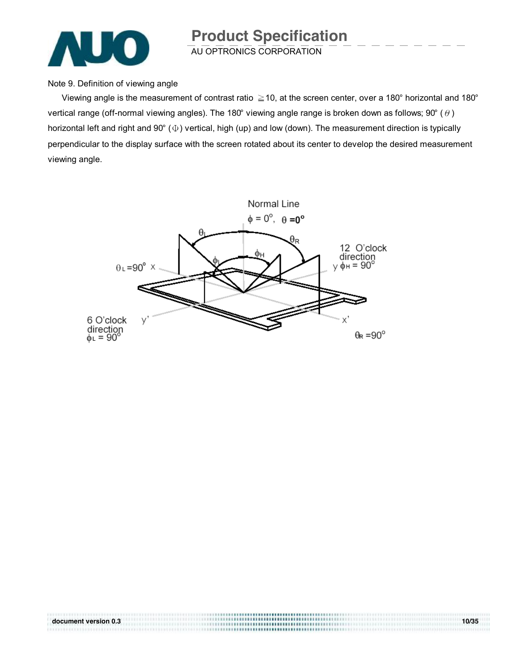![](_page_9_Picture_0.jpeg)

Note 9. Definition of viewing angle

Viewing angle is the measurement of contrast ratio  $\geq$  10, at the screen center, over a 180° horizontal and 180° vertical range (off-normal viewing angles). The 180° viewing angle range is broken down as follows; 90° ( $\theta$ ) horizontal left and right and 90° (Φ) vertical, high (up) and low (down). The measurement direction is typically perpendicular to the display surface with the screen rotated about its center to develop the desired measurement viewing angle.

![](_page_9_Figure_4.jpeg)

**document version 0.3 10/35**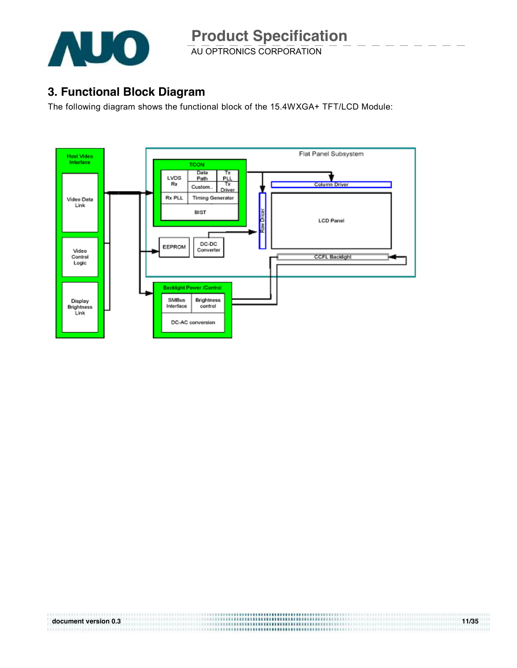![](_page_10_Picture_0.jpeg)

### **3. Functional Block Diagram**

The following diagram shows the functional block of the 15.4WXGA+ TFT/LCD Module:

![](_page_10_Figure_5.jpeg)

| document version 0.3 | <b></b><br>*********************************** | 11/35 |
|----------------------|------------------------------------------------|-------|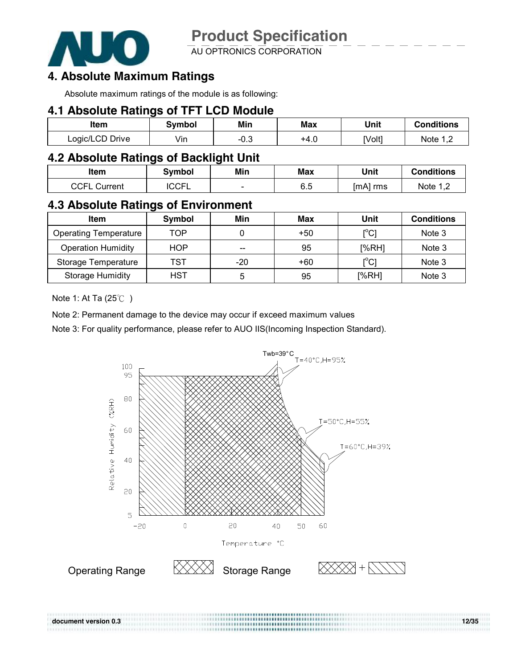![](_page_11_Picture_0.jpeg)

AU OPTRONICS CORPORATION

### **4. Absolute Maximum Ratings**

Absolute maximum ratings of the module is as following:

#### **4.1 Absolute Ratings of TFT LCD Module**

| ltem            | Svmbol | Min    | Max  | Unit   | Conditions |
|-----------------|--------|--------|------|--------|------------|
| Logic/LCD Drive | Vin    | $-0.3$ | +4.0 | [Volt] | Note       |

#### **4.2 Absolute Ratings of Backlight Unit**

| ltem            | <b>Symbol</b> | Min                      | Max | Unit     | <b>Conditions</b> |
|-----------------|---------------|--------------------------|-----|----------|-------------------|
| CCEI<br>∶urrent | CCEI<br>ι∪∪г  | $\overline{\phantom{0}}$ | 6.5 | [mA] rms | Note<br>ــ .      |

### **4.3 Absolute Ratings of Environment**

| <b>Item</b>                  | Symbol     | Min   | Max   | Unit                                    | <b>Conditions</b> |
|------------------------------|------------|-------|-------|-----------------------------------------|-------------------|
| <b>Operating Temperature</b> | TOP        |       | $+50$ | $\mathsf{I}^\circ\mathsf{C} \mathsf{I}$ | Note 3            |
| <b>Operation Humidity</b>    | <b>HOP</b> | $- -$ | 95    | [%RH]                                   | Note 3            |
| Storage Temperature          | TST        | -20   | $+60$ | [°C]                                    | Note 3            |
| <b>Storage Humidity</b>      | HST        | b     | 95    | [%RH]                                   | Note 3            |

Note 1: At Ta (25℃ )

Note 2: Permanent damage to the device may occur if exceed maximum values

Note 3: For quality performance, please refer to AUO IIS(Incoming Inspection Standard).

![](_page_11_Figure_14.jpeg)

**document version 0.3 12/35**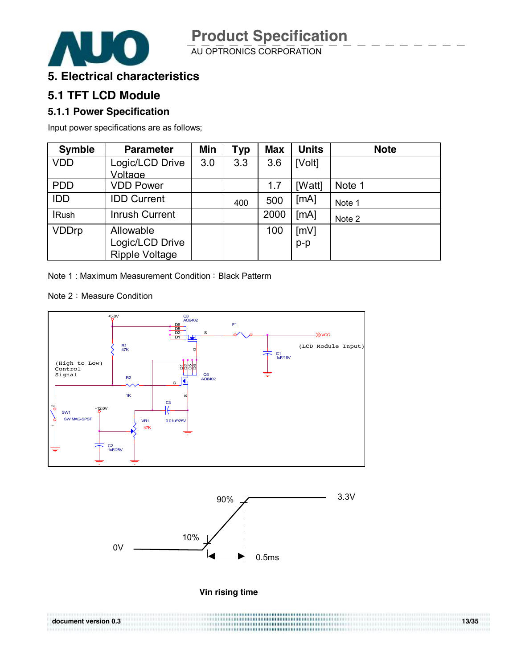![](_page_12_Picture_2.jpeg)

#### **5. Electrical characteristics**

### **5.1 TFT LCD Module**

#### **5.1.1 Power Specification**

Input power specifications are as follows;

| <b>Symble</b> | <b>Parameter</b>      | Min | <b>Typ</b> | <b>Max</b> | <b>Units</b> | <b>Note</b> |
|---------------|-----------------------|-----|------------|------------|--------------|-------------|
| <b>VDD</b>    | Logic/LCD Drive       | 3.0 | 3.3        | 3.6        | [Volt]       |             |
|               | Voltage               |     |            |            |              |             |
| <b>PDD</b>    | <b>VDD Power</b>      |     |            | 1.7        | [Watt]       | Note 1      |
| <b>IDD</b>    | <b>IDD Current</b>    |     | 400        | 500        | [MA]         | Note 1      |
| <b>IRush</b>  | <b>Inrush Current</b> |     |            | 2000       | [MA]         | Note 2      |
| <b>VDDrp</b>  | Allowable             |     |            | 100        | [mV]         |             |
|               | Logic/LCD Drive       |     |            |            | $p-p$        |             |
|               | <b>Ripple Voltage</b> |     |            |            |              |             |

Note 1: Maximum Measurement Condition: Black Patterm

Note 2: Measure Condition

............................

![](_page_12_Figure_10.jpeg)

![](_page_12_Figure_11.jpeg)

![](_page_12_Figure_12.jpeg)

**document version 0.3 13/35**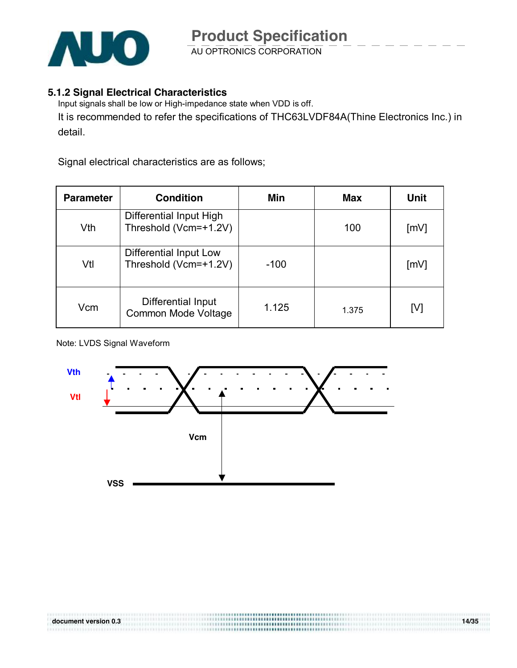![](_page_13_Picture_0.jpeg)

#### **5.1.2 Signal Electrical Characteristics**

Input signals shall be low or High-impedance state when VDD is off. It is recommended to refer the specifications of THC63LVDF84A(Thine Electronics Inc.) in detail.

Signal electrical characteristics are as follows;

| <b>Parameter</b> | <b>Condition</b>                                 | Min    | Max   | Unit               |
|------------------|--------------------------------------------------|--------|-------|--------------------|
| Vth              | Differential Input High<br>Threshold (Vcm=+1.2V) |        | 100   | [mV]               |
| Vtl              | Differential Input Low<br>Threshold (Vcm=+1.2V)  | $-100$ |       | $\lceil mV \rceil$ |
| Vcm              | Differential Input<br><b>Common Mode Voltage</b> | 1.125  | 1.375 | [V]                |

#### Note: LVDS Signal Waveform

![](_page_13_Figure_7.jpeg)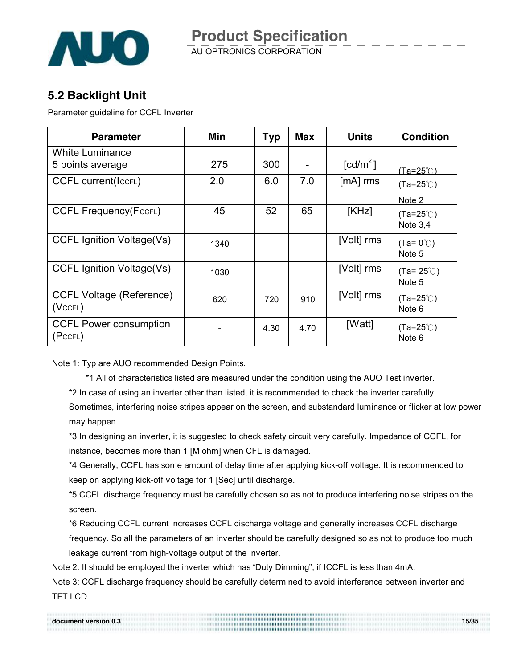![](_page_14_Picture_0.jpeg)

### **5.2 Backlight Unit**

Parameter guideline for CCFL Inverter

| <b>Parameter</b>                                 | Min  | <b>Typ</b> | <b>Max</b> | <b>Units</b>           | <b>Condition</b>                 |
|--------------------------------------------------|------|------------|------------|------------------------|----------------------------------|
| <b>White Luminance</b><br>5 points average       | 275  | 300        |            | $\lceil cd/m^2 \rceil$ | <u>(Ta=25℃)</u>                  |
| <b>CCFL current(IccFL)</b>                       | 2.0  | 6.0        | 7.0        | $[mA]$ rms             | $(Ta=25^{\circ}C)$<br>Note 2     |
| <b>CCFL Frequency (FccFL)</b>                    | 45   | 52         | 65         | [KHz]                  | $(Ta=25^{\circ}C)$<br>Note $3,4$ |
| <b>CCFL Ignition Voltage(Vs)</b>                 | 1340 |            |            | [Volt] rms             | $(Ta=0^{\circ}C)$<br>Note 5      |
| <b>CCFL Ignition Voltage(Vs)</b>                 | 1030 |            |            | [Volt] rms             | $(Ta=25^{\circ}C)$<br>Note 5     |
| <b>CCFL Voltage (Reference)</b><br>$(Vc$ CFL $)$ | 620  | 720        | 910        | [Volt] rms             | $(Ta=25^{\circ}C)$<br>Note 6     |
| <b>CCFL Power consumption</b><br>(PccFL)         |      | 4.30       | 4.70       | [Watt]                 | $(Ta=25^{\circ}C)$<br>Note 6     |

Note 1: Typ are AUO recommended Design Points.

\*1 All of characteristics listed are measured under the condition using the AUO Test inverter.

\*2 In case of using an inverter other than listed, it is recommended to check the inverter carefully.

Sometimes, interfering noise stripes appear on the screen, and substandard luminance or flicker at low power may happen.

\*3 In designing an inverter, it is suggested to check safety circuit very carefully. Impedance of CCFL, for instance, becomes more than 1 [M ohm] when CFL is damaged.

\*4 Generally, CCFL has some amount of delay time after applying kick-off voltage. It is recommended to keep on applying kick-off voltage for 1 [Sec] until discharge.

\*5 CCFL discharge frequency must be carefully chosen so as not to produce interfering noise stripes on the screen.

\*6 Reducing CCFL current increases CCFL discharge voltage and generally increases CCFL discharge frequency. So all the parameters of an inverter should be carefully designed so as not to produce too much leakage current from high-voltage output of the inverter.

Note 2: It should be employed the inverter which has "Duty Dimming", if ICCFL is less than 4mA.

Note 3: CCFL discharge frequency should be carefully determined to avoid interference between inverter and TFT LCD.

**document version 0.3 15/35**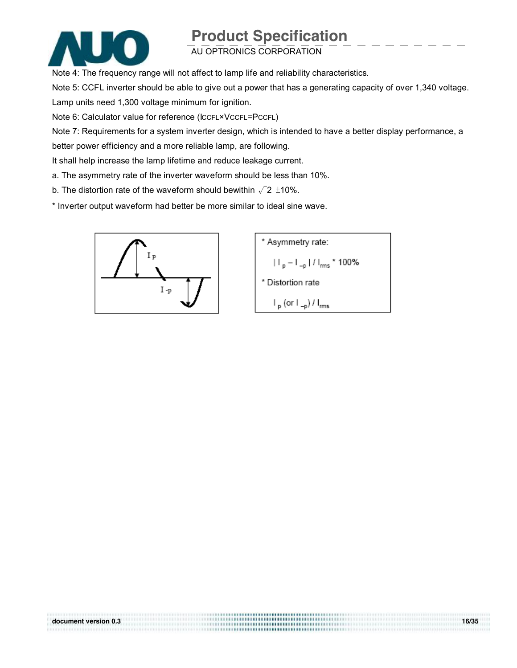![](_page_15_Picture_1.jpeg)

### AU OPTRONICS CORPORATION

Note 4: The frequency range will not affect to lamp life and reliability characteristics.

Note 5: CCFL inverter should be able to give out a power that has a generating capacity of over 1,340 voltage.

Lamp units need 1,300 voltage minimum for ignition.

Note 6: Calculator value for reference (ICCFL×VCCFL=PCCFL)

Note 7: Requirements for a system inverter design, which is intended to have a better display performance, a

**document version 0.3 16/35** 

better power efficiency and a more reliable lamp, are following.

It shall help increase the lamp lifetime and reduce leakage current.

- a. The asymmetry rate of the inverter waveform should be less than 10%.
- b. The distortion rate of the waveform should bewithin  $\sqrt{2}$  ±10%.

\* Inverter output waveform had better be more similar to ideal sine wave.

![](_page_15_Figure_13.jpeg)

![](_page_15_Figure_14.jpeg)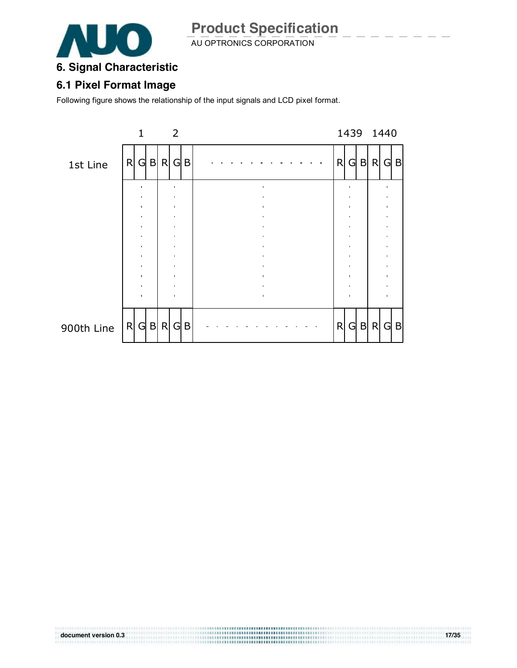![](_page_16_Picture_0.jpeg)

AU OPTRONICS CORPORATION

# **6. Signal Characteristic**

### **6.1 Pixel Format Image**

Following figure shows the relationship of the input signals and LCD pixel format.

![](_page_16_Figure_6.jpeg)

**document version 0.3 17/35**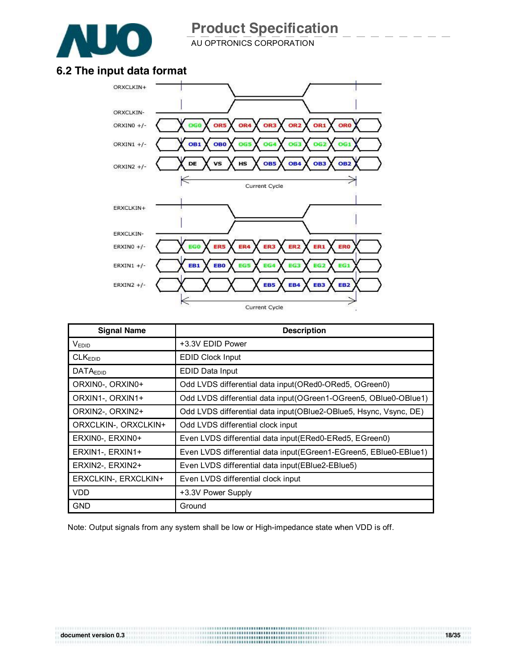![](_page_17_Picture_0.jpeg)

 $A$ U OPTRONICS CORPORATION

#### **6.2 The input data format**

![](_page_17_Figure_4.jpeg)

| <b>Signal Name</b>   | <b>Description</b>                                                |
|----------------------|-------------------------------------------------------------------|
| $V_{EDID}$           | +3.3V EDID Power                                                  |
| CLK <sub>EDID</sub>  | <b>EDID Clock Input</b>                                           |
| <b>DATAEDID</b>      | EDID Data Input                                                   |
| ORXINO-, ORXINO+     | Odd LVDS differential data input(ORed0-ORed5, OGreen0)            |
| ORXIN1-, ORXIN1+     | Odd LVDS differential data input (OGreen1-OGreen5, OBlue0-OBlue1) |
| ORXIN2-, ORXIN2+     | Odd LVDS differential data input(OBlue2-OBlue5, Hsync, Vsync, DE) |
| ORXCLKIN-, ORXCLKIN+ | Odd LVDS differential clock input                                 |
| ERXINO-, ERXINO+     | Even LVDS differential data input(ERed0-ERed5, EGreen0)           |
| ERXIN1-, ERXIN1+     | Even LVDS differential data input(EGreen1-EGreen5, EBlue0-EBlue1) |
| ERXIN2-, ERXIN2+     | Even LVDS differential data input (EBIue2-EBIue5)                 |
| ERXCLKIN-, ERXCLKIN+ | Even LVDS differential clock input                                |
| <b>VDD</b>           | +3.3V Power Supply                                                |
| <b>GND</b>           | Ground                                                            |

Note: Output signals from any system shall be low or High-impedance state when VDD is off.

**document version 0.3 18/35**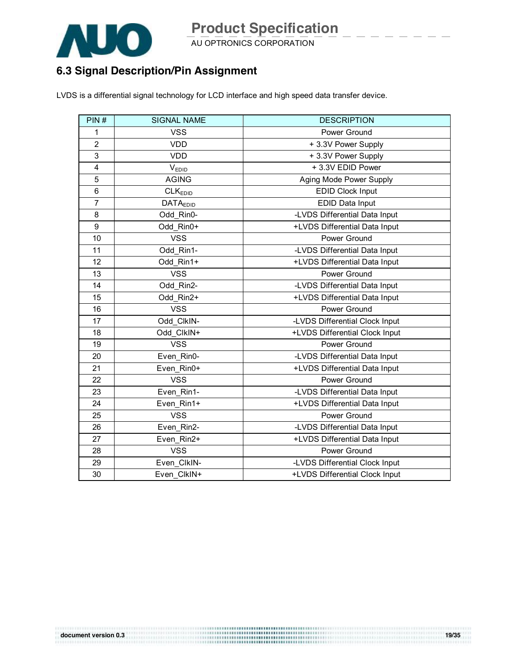![](_page_18_Picture_0.jpeg)

AU OPTRONICS CORPORATION

#### **6.3 Signal Description/Pin Assignment**

LVDS is a differential signal technology for LCD interface and high speed data transfer device.

| PIN#           | <b>SIGNAL NAME</b>  | <b>DESCRIPTION</b>             |
|----------------|---------------------|--------------------------------|
| 1              | <b>VSS</b>          | Power Ground                   |
| $\overline{2}$ | <b>VDD</b>          | + 3.3V Power Supply            |
| 3              | <b>VDD</b>          | + 3.3V Power Supply            |
| $\overline{4}$ | V <sub>EDID</sub>   | + 3.3V EDID Power              |
| 5              | <b>AGING</b>        | Aging Mode Power Supply        |
| 6              | CLK <sub>EDID</sub> | <b>EDID Clock Input</b>        |
| $\overline{7}$ | <b>DATAEDID</b>     | EDID Data Input                |
| 8              | Odd Rin0-           | -LVDS Differential Data Input  |
| 9              | Odd Rin0+           | +LVDS Differential Data Input  |
| 10             | <b>VSS</b>          | Power Ground                   |
| 11             | Odd Rin1-           | -LVDS Differential Data Input  |
| 12             | Odd Rin1+           | +LVDS Differential Data Input  |
| 13             | <b>VSS</b>          | Power Ground                   |
| 14             | Odd Rin2-           | -LVDS Differential Data Input  |
| 15             | Odd Rin2+           | +LVDS Differential Data Input  |
| 16             | <b>VSS</b>          | Power Ground                   |
| 17             | Odd ClkIN-          | -LVDS Differential Clock Input |
| 18             | Odd ClkIN+          | +LVDS Differential Clock Input |
| 19             | <b>VSS</b>          | Power Ground                   |
| 20             | Even Rin0-          | -LVDS Differential Data Input  |
| 21             | Even Rin0+          | +LVDS Differential Data Input  |
| 22             | <b>VSS</b>          | Power Ground                   |
| 23             | Even Rin1-          | -LVDS Differential Data Input  |
| 24             | Even Rin1+          | +LVDS Differential Data Input  |
| 25             | <b>VSS</b>          | Power Ground                   |
| 26             | Even Rin2-          | -LVDS Differential Data Input  |
| 27             | Even Rin2+          | +LVDS Differential Data Input  |
| 28             | <b>VSS</b>          | Power Ground                   |
| 29             | Even CIkIN-         | -LVDS Differential Clock Input |
| 30             | Even ClkIN+         | +LVDS Differential Clock Input |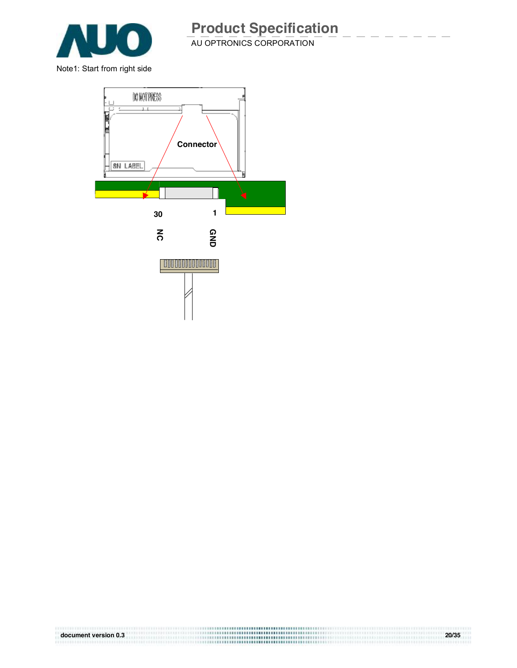![](_page_19_Picture_0.jpeg)

Note1: Start from right side

![](_page_19_Figure_3.jpeg)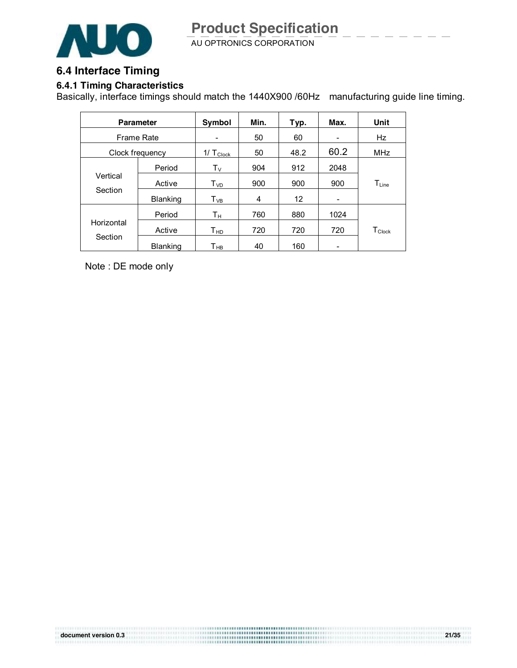![](_page_20_Picture_1.jpeg)

#### **6.4 Interface Timing**

#### **6.4.1 Timing Characteristics**

Basically, interface timings should match the 1440X900 /60Hz manufacturing guide line timing.

|                   | <b>Parameter</b> | Symbol                  | Min. | Typ.              | Max. | Unit                         |
|-------------------|------------------|-------------------------|------|-------------------|------|------------------------------|
| <b>Frame Rate</b> |                  |                         | 50   | 60                |      | Hz                           |
| Clock frequency   |                  | $1/\top_{\text{Clock}}$ | 50   | 48.2              | 60.2 | <b>MHz</b>                   |
|                   | Period           | Tv                      | 904  | 912               | 2048 |                              |
| Vertical          | Active           | $T_{VD}$                | 900  | 900               | 900  | $\mathsf{T}_{\mathsf{Line}}$ |
| Section           | <b>Blanking</b>  | $T_{VB}$                | 4    | $12 \overline{ }$ |      |                              |
|                   | Period           | Τн                      | 760  | 880               | 1024 |                              |
| Horizontal        | Active           | $T_{HD}$                | 720  | 720               | 720  | $T_{\mathsf{Clock}}$         |
| Section           | <b>Blanking</b>  | Т <sub>нв</sub>         | 40   | 160               |      |                              |

Note : DE mode only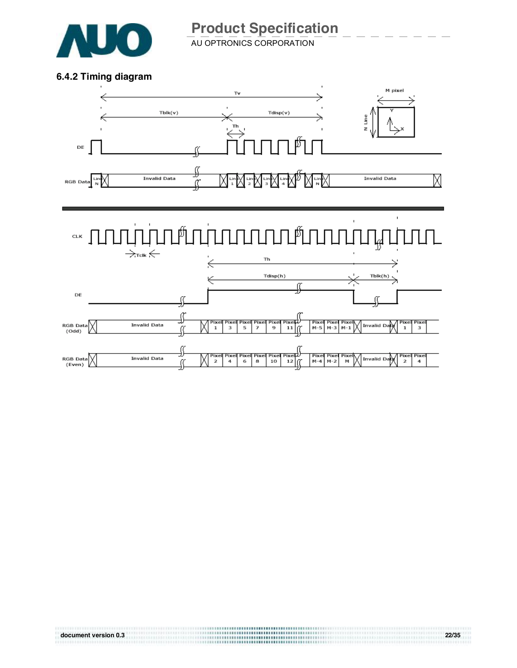![](_page_21_Picture_0.jpeg)

 $A$ U OPTRONICS CORPORATION

#### **6.4.2 Timing diagram**

![](_page_21_Figure_4.jpeg)

# **document version 0.3 22/35**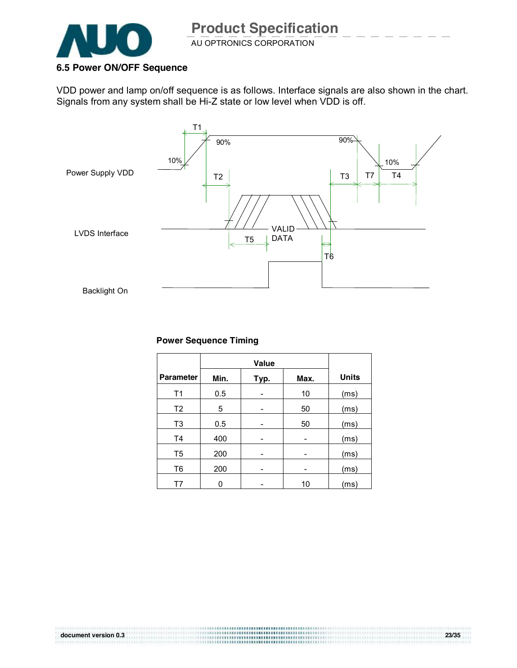![](_page_22_Picture_0.jpeg)

#### VDD power and lamp on/off sequence is as follows. Interface signals are also shown in the chart. Signals from any system shall be Hi-Z state or low level when VDD is off.

![](_page_22_Figure_4.jpeg)

#### **Power Sequence Timing**

|                  | Value |      |      |              |
|------------------|-------|------|------|--------------|
| <b>Parameter</b> | Min.  | Typ. | Max. | <b>Units</b> |
| T1               | 0.5   |      | 10   | (ms)         |
| T <sub>2</sub>   | 5     |      | 50   | (ms)         |
| T3               | 0.5   | -    | 50   | (ms)         |
| T4               | 400   |      |      | (ms)         |
| T5               | 200   | -    |      | (ms)         |
| T <sub>6</sub>   | 200   | ۰    | -    | (ms)         |
| T7               |       |      | 10   | (ms)         |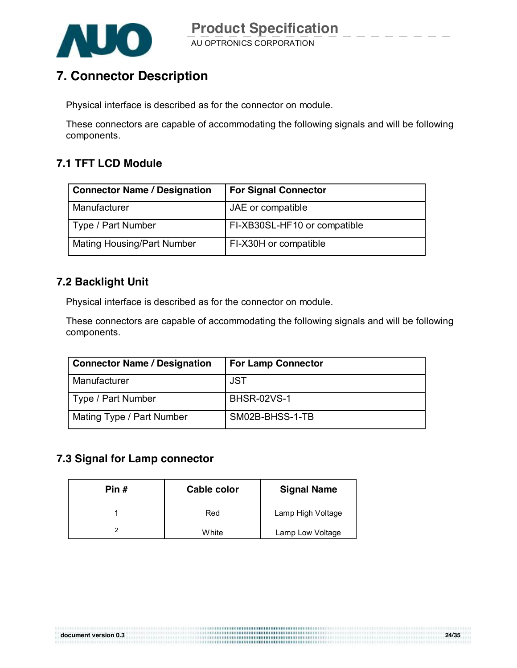![](_page_23_Picture_0.jpeg)

## **7. Connector Description**

Physical interface is described as for the connector on module.

These connectors are capable of accommodating the following signals and will be following components.

#### **7.1 TFT LCD Module**

| <b>Connector Name / Designation</b> | <b>For Signal Connector</b>  |
|-------------------------------------|------------------------------|
| Manufacturer                        | JAE or compatible            |
| Type / Part Number                  | FI-XB30SL-HF10 or compatible |
| Mating Housing/Part Number          | FI-X30H or compatible        |

#### **7.2 Backlight Unit**

Physical interface is described as for the connector on module.

These connectors are capable of accommodating the following signals and will be following components.

| <b>Connector Name / Designation</b> | <b>For Lamp Connector</b> |
|-------------------------------------|---------------------------|
| Manufacturer                        | JST                       |
| Type / Part Number                  | <b>BHSR-02VS-1</b>        |
| Mating Type / Part Number           | SM02B-BHSS-1-TB           |

#### **7.3 Signal for Lamp connector**

| Pin # | Cable color | <b>Signal Name</b> |
|-------|-------------|--------------------|
|       | Red         | Lamp High Voltage  |
|       | White       | Lamp Low Voltage   |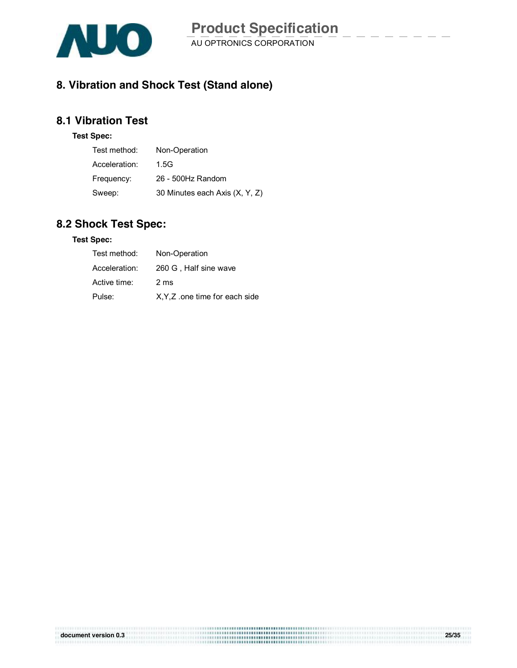![](_page_24_Picture_0.jpeg)

#### **8. Vibration and Shock Test (Stand alone)**

#### **8.1 Vibration Test**

#### **Test Spec:**

| Test method:  | Non-Operation                  |
|---------------|--------------------------------|
| Acceleration: | 1.5G                           |
| Frequency:    | 26 - 500Hz Random              |
| Sweep:        | 30 Minutes each Axis (X, Y, Z) |

#### **8.2 Shock Test Spec:**

#### **Test Spec:**

| Test method:  | Non-Operation                  |
|---------------|--------------------------------|
| Acceleration: | 260 G, Half sine wave          |
| Active time:  | 2 ms                           |
| Pulse:        | X, Y, Z one time for each side |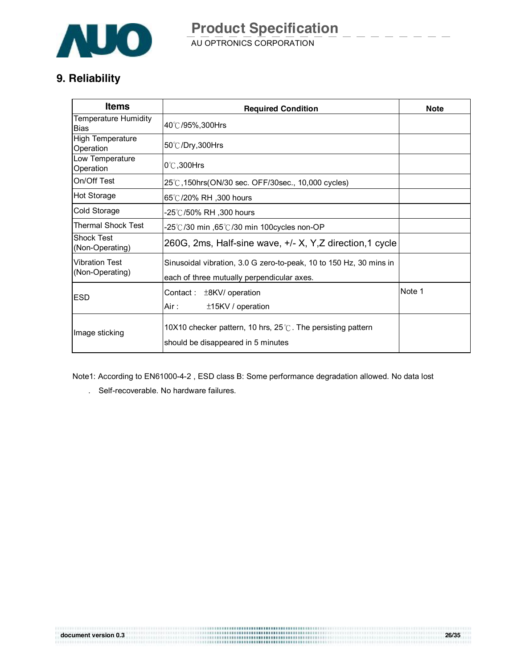![](_page_25_Picture_0.jpeg)

AU OPTRONICS CORPORATION **Product Specification** 

#### **9. Reliability**

| <b>Items</b>                               | <b>Required Condition</b>                                                                                        | <b>Note</b> |
|--------------------------------------------|------------------------------------------------------------------------------------------------------------------|-------------|
| <b>Temperature Humidity</b><br><b>Bias</b> | 40℃/95%,300Hrs                                                                                                   |             |
| High Temperature<br>Operation              | 50℃/Dry,300Hrs                                                                                                   |             |
| Low Temperature<br>Operation               | $0^\circ$ C.300Hrs                                                                                               |             |
| On/Off Test                                | 25°C, 150hrs (ON/30 sec. OFF/30sec., 10,000 cycles)                                                              |             |
| <b>Hot Storage</b>                         | 65℃/20% RH ,300 hours                                                                                            |             |
| Cold Storage                               | .25℃/50% RH ,300 hours                                                                                           |             |
| Thermal Shock Test                         | -25°C/30 min ,65°C/30 min 100cycles non-OP                                                                       |             |
| <b>Shock Test</b><br>(Non-Operating)       | 260G, 2ms, Half-sine wave, $+/- X$ , Y, Z direction, 1 cycle                                                     |             |
| <b>Vibration Test</b><br>(Non-Operating)   | Sinusoidal vibration, 3.0 G zero-to-peak, 10 to 150 Hz, 30 mins in<br>each of three mutually perpendicular axes. |             |
| ESD                                        | Contact: ±8KV/ operation<br>Air :<br>$±15$ KV / operation                                                        | Note 1      |
| Image sticking                             |                                                                                                                  |             |

Note1: According to EN61000-4-2 , ESD class B: Some performance degradation allowed. No data lost

**document version 0.3 26/35**

. Self-recoverable. No hardware failures.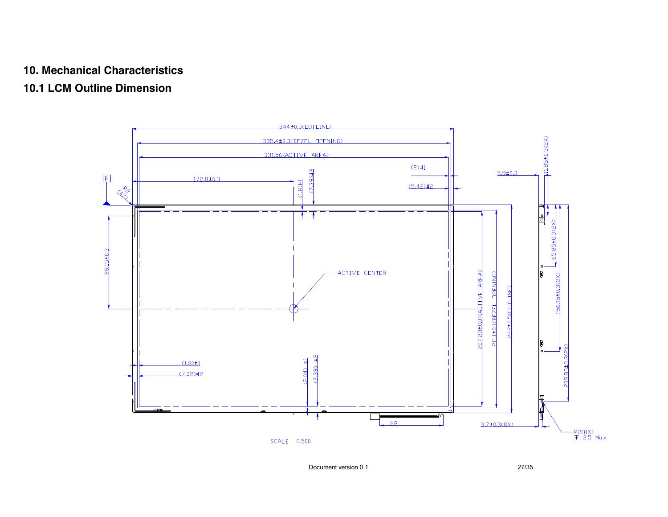#### **10. Mechanical Characteristics**

#### **10.1 LCM Outline Dimension**

![](_page_26_Figure_2.jpeg)

Document version 0.1 27/35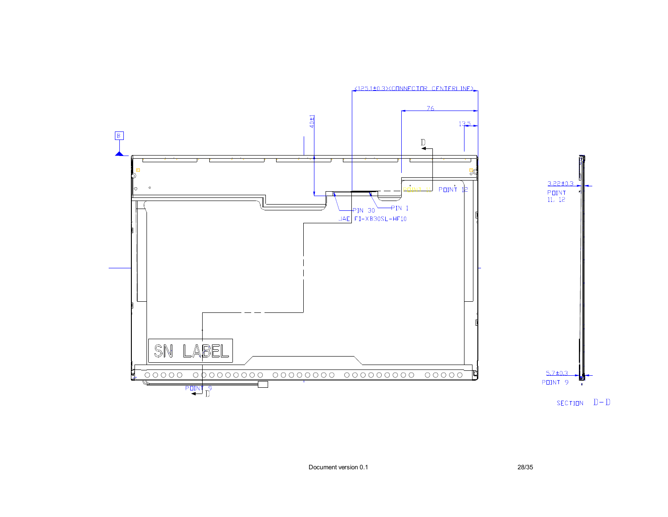![](_page_27_Figure_0.jpeg)

![](_page_27_Figure_1.jpeg)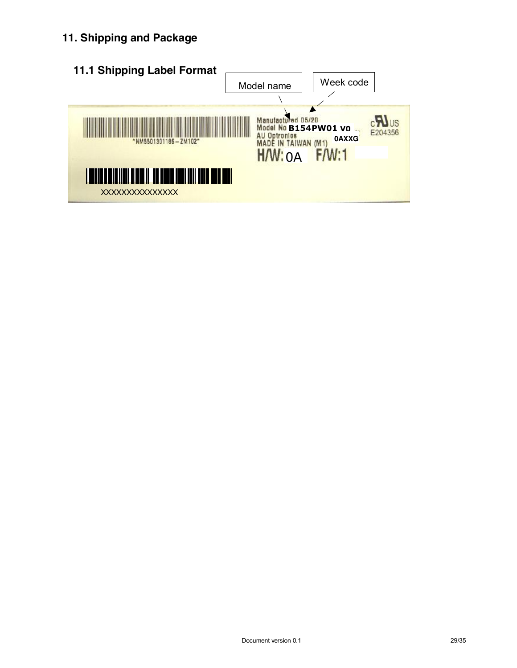#### **11. Shipping and Package**

![](_page_28_Figure_1.jpeg)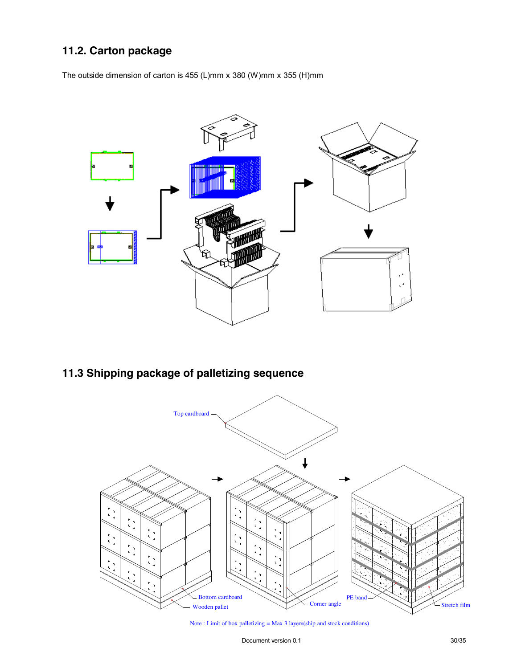#### **11.2. Carton package**

The outside dimension of carton is 455 (L)mm x 380 (W)mm x 355 (H)mm

![](_page_29_Figure_2.jpeg)

### **11.3 Shipping package of palletizing sequence**

![](_page_29_Figure_4.jpeg)

Note : Limit of box palletizing = Max 3 layers(ship and stock conditions)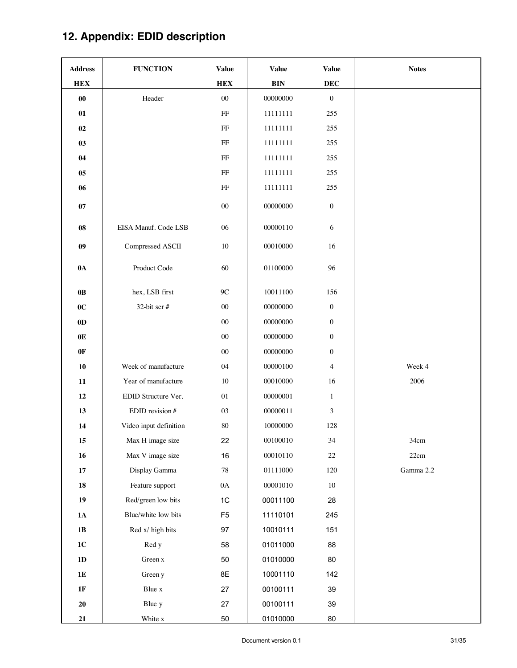# **12. Appendix: EDID description**

| <b>Address</b> | <b>FUNCTION</b>        | <b>Value</b>   | <b>Value</b> | <b>Value</b>     | <b>Notes</b> |
|----------------|------------------------|----------------|--------------|------------------|--------------|
| <b>HEX</b>     |                        | <b>HEX</b>     | <b>BIN</b>   | <b>DEC</b>       |              |
| $\bf{00}$      | Header                 | $00\,$         | 00000000     | $\boldsymbol{0}$ |              |
| 01             |                        | $\rm FF$       | 11111111     | 255              |              |
| 02             |                        | $\rm FF$       | 11111111     | 255              |              |
| 03             |                        | $\rm FF$       | 11111111     | 255              |              |
| 04             |                        | $\rm FF$       | 11111111     | 255              |              |
| $05\,$         |                        | $\rm FF$       | 11111111     | 255              |              |
| 06             |                        | $\rm FF$       | 11111111     | 255              |              |
| $07\,$         |                        | $00\,$         | 00000000     | $\boldsymbol{0}$ |              |
| ${\bf 08}$     | EISA Manuf. Code LSB   | 06             | 00000110     | 6                |              |
| 09             | Compressed ASCII       | $10\,$         | 00010000     | 16               |              |
| $0\text{A}$    | Product Code           | 60             | 01100000     | 96               |              |
| $0\mathbf{B}$  | hex, LSB first         | $9\mathrm{C}$  | 10011100     | 156              |              |
| 0 <sup>C</sup> | 32-bit ser #           | $00\,$         | 00000000     | $\boldsymbol{0}$ |              |
| $0\mathbf{D}$  |                        | $00\,$         | 00000000     | $\boldsymbol{0}$ |              |
| 0E             |                        | $00\,$         | 00000000     | $\boldsymbol{0}$ |              |
| 0F             |                        | $00\,$         | 00000000     | $\boldsymbol{0}$ |              |
| ${\bf 10}$     | Week of manufacture    | 04             | 00000100     | $\overline{4}$   | Week 4       |
| 11             | Year of manufacture    | $10\,$         | 00010000     | 16               | 2006         |
| 12             | EDID Structure Ver.    | 01             | 00000001     | $\mathbf{1}$     |              |
| 13             | EDID revision #        | 03             | 00000011     | 3                |              |
| 14             | Video input definition | $80\,$         | 10000000     | 128              |              |
| $15\,$         | Max H image size       | 22             | 00100010     | 34               | 34cm         |
| 16             | Max V image size       | 16             | 00010110     | $22\,$           | 22cm         |
| $17\,$         | Display Gamma          | $78\,$         | 01111000     | 120              | Gamma 2.2    |
| 18             | Feature support        | $0\mathrm{A}$  | 00001010     | $10\,$           |              |
| 19             | Red/green low bits     | 1C             | 00011100     | 28               |              |
| $1\text{A}$    | Blue/white low bits    | F <sub>5</sub> | 11110101     | 245              |              |
| 1B             | Red x/ high bits       | 97             | 10010111     | 151              |              |
| $1C$           | Red y                  | 58             | 01011000     | 88               |              |
| 1D             | Green x                | 50             | 01010000     | 80               |              |
| $1E$           | Green y                | 8E             | 10001110     | 142              |              |
| $1\mathrm{F}$  | Blue x                 | 27             | 00100111     | 39               |              |
| 20             | Blue y                 | 27             | 00100111     | 39               |              |
| 21             | White x                | 50             | 01010000     | 80               |              |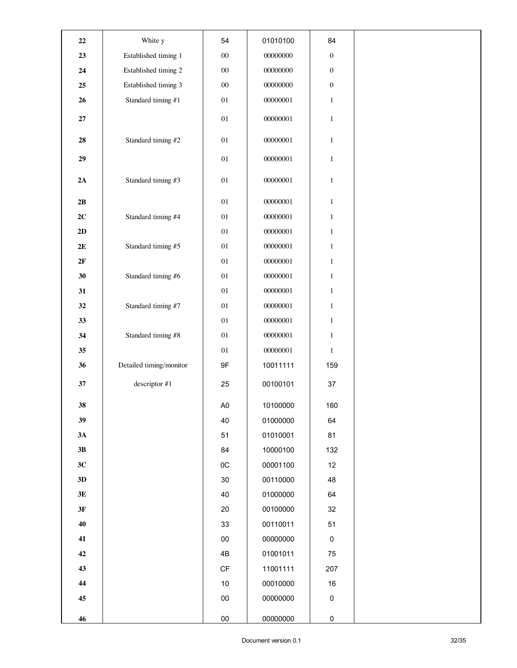| $\bf{22}$     | White y                 | 54                     | 01010100 | 84               |  |
|---------------|-------------------------|------------------------|----------|------------------|--|
| 23            | Established timing 1    | $00\,$                 | 00000000 | $\boldsymbol{0}$ |  |
| ${\bf 24}$    | Established timing 2    | $00\,$                 | 00000000 | $\boldsymbol{0}$ |  |
| ${\bf 25}$    | Established timing 3    | $00\,$                 | 00000000 | $\boldsymbol{0}$ |  |
| 26            | Standard timing #1      | $0 \\ 1$               | 00000001 | $\mathbf{1}$     |  |
| $\bf 27$      |                         | $0 \\ 1$               | 00000001 | $\,1\,$          |  |
| 28            | Standard timing #2      | $0 \\ 1$               | 00000001 | $\mathbf{1}$     |  |
| 29            |                         | $0 \\ 1$               | 00000001 | $\mathbf{1}$     |  |
| $2\mathrm{A}$ | Standard timing #3      | $0 \\ 1$               | 00000001 | $\,1\,$          |  |
| 2B            |                         | $0 \\ 1$               | 00000001 | $\mathbf{1}$     |  |
| $2C$          | Standard timing #4      | $0 \\ 1$               | 00000001 | $\mathbf{1}$     |  |
| 2D            |                         | $0 \\ 1$               | 00000001 | $\mathbf{1}$     |  |
| $2\mathbf{E}$ | Standard timing #5      | $0 \\ 1$               | 00000001 | $\mathbf{1}$     |  |
| 2F            |                         | $0 \\ 1$               | 00000001 | $\,1\,$          |  |
| 30            | Standard timing #6      | $0 \\ 1$               | 00000001 | $\mathbf{1}$     |  |
| 31            |                         | $0 \\ 1$               | 00000001 | $\,1\,$          |  |
| 32            | Standard timing #7      | $0 \\ 1$               | 00000001 | $\mathbf{1}$     |  |
| 33            |                         | $0 \\ 1$               | 00000001 | $\mathbf{1}$     |  |
| 34            | Standard timing #8      | $0 \\ 1$               | 00000001 | $\mathbf{1}$     |  |
| 35            |                         | $0 \\ 1$               | 00000001 | $\mathbf{1}$     |  |
| 36            | Detailed timing/monitor | 9F                     | 10011111 | 159              |  |
| $37\,$        | descriptor #1           | 25                     | 00100101 | $37\,$           |  |
| 38            |                         | A <sub>0</sub>         | 10100000 | 160              |  |
| 39            |                         | 40                     | 01000000 | 64               |  |
| 3A            |                         | 51                     | 01010001 | 81               |  |
| 3B            |                         | 84                     | 10000100 | 132              |  |
| 3C            |                         | $_{0C}$                | 00001100 | 12               |  |
| 3D            |                         | $30\,$                 | 00110000 | 48               |  |
| 3E            |                         | 40                     | 01000000 | 64               |  |
| 3F            |                         | 20                     | 00100000 | 32               |  |
| 40            |                         | 33                     | 00110011 | 51               |  |
| 41            |                         | 00                     | 00000000 | $\pmb{0}$        |  |
| 42            |                         | 4B                     | 01001011 | 75               |  |
| 43            |                         | $\mathsf{C}\mathsf{F}$ | 11001111 | 207              |  |
| 44            |                         | $10$                   | 00010000 | 16               |  |
| 45            |                         | $00\,$                 | 00000000 | $\pmb{0}$        |  |
| 46            |                         | ${\bf 00}$             | 00000000 | $\pmb{0}$        |  |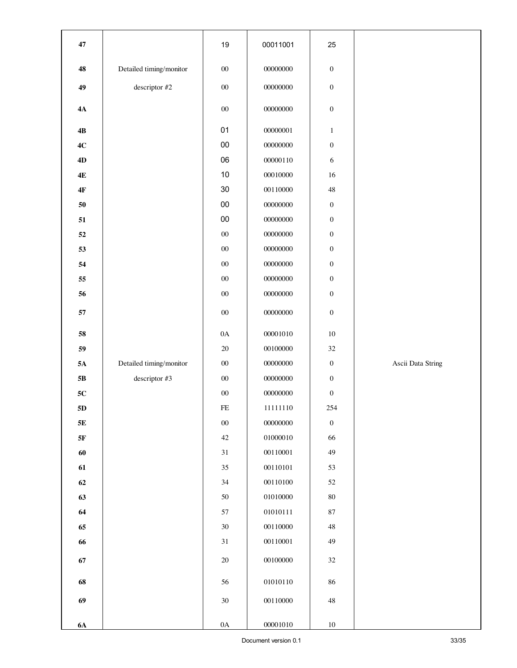| 47            |                         | 19            | 00011001 | 25               |                   |
|---------------|-------------------------|---------------|----------|------------------|-------------------|
| 48            | Detailed timing/monitor | $00\,$        | 00000000 | $\boldsymbol{0}$ |                   |
| 49            | descriptor #2           | $00\,$        | 00000000 | $\boldsymbol{0}$ |                   |
| 4A            |                         | $00\,$        | 00000000 | $\boldsymbol{0}$ |                   |
|               |                         |               |          |                  |                   |
| $4\mathrm{B}$ |                         | 01            | 00000001 | $\mathbf{1}$     |                   |
| 4C            |                         | $00\,$        | 00000000 | $\boldsymbol{0}$ |                   |
| 4D            |                         | 06            | 00000110 | 6                |                   |
| $4E$          |                         | 10            | 00010000 | 16               |                   |
| $4\mathrm{F}$ |                         | $30\,$        | 00110000 | $48\,$           |                   |
| 50            |                         | ${\bf 00}$    | 00000000 | $\boldsymbol{0}$ |                   |
| 51            |                         | $00\,$        | 00000000 | $\boldsymbol{0}$ |                   |
| ${\bf 52}$    |                         | $00\,$        | 00000000 | $\boldsymbol{0}$ |                   |
| 53            |                         | ${\bf 00}$    | 00000000 | $\boldsymbol{0}$ |                   |
| 54            |                         | ${\bf 00}$    | 00000000 | $\boldsymbol{0}$ |                   |
| 55            |                         | ${\bf 00}$    | 00000000 | $\boldsymbol{0}$ |                   |
| 56            |                         | $00\,$        | 00000000 | $\boldsymbol{0}$ |                   |
| 57            |                         | $00\,$        | 00000000 | $\boldsymbol{0}$ |                   |
| 58            |                         | $0\mathrm{A}$ | 00001010 | $10\,$           |                   |
| 59            |                         | $20\,$        | 00100000 | $32\,$           |                   |
| $5\mathrm{A}$ | Detailed timing/monitor | $00\,$        | 00000000 | $\boldsymbol{0}$ | Ascii Data String |
| $5\mathrm{B}$ | descriptor #3           | ${\bf 00}$    | 00000000 | $\boldsymbol{0}$ |                   |
| ${\bf 5C}$    |                         | $00\,$        | 00000000 | $\boldsymbol{0}$ |                   |
| $5\mathrm{D}$ |                         | $\rm FE$      | 11111110 | 254              |                   |
| $5\mathrm{E}$ |                         | ${\bf 00}$    | 00000000 | $\boldsymbol{0}$ |                   |
| $5\mathrm{F}$ |                         | $42\,$        | 01000010 | 66               |                   |
| 60            |                         | $31\,$        | 00110001 | 49               |                   |
| 61            |                         | 35            | 00110101 | 53               |                   |
| 62            |                         | 34            | 00110100 | 52               |                   |
| 63            |                         | $50\,$        | 01010000 | $80\,$           |                   |
| 64            |                         | 57            | 01010111 | $87\,$           |                   |
| 65            |                         | $30\,$        | 00110000 | 48               |                   |
| 66            |                         | 31            | 00110001 | 49               |                   |
| $\bf 67$      |                         | $20\,$        | 00100000 | 32               |                   |
|               |                         |               |          |                  |                   |
| 68            |                         | 56            | 01010110 | 86               |                   |
| 69            |                         | $30\,$        | 00110000 | $48\,$           |                   |
| <b>6A</b>     |                         | $0\mathrm{A}$ | 00001010 | $10\,$           |                   |